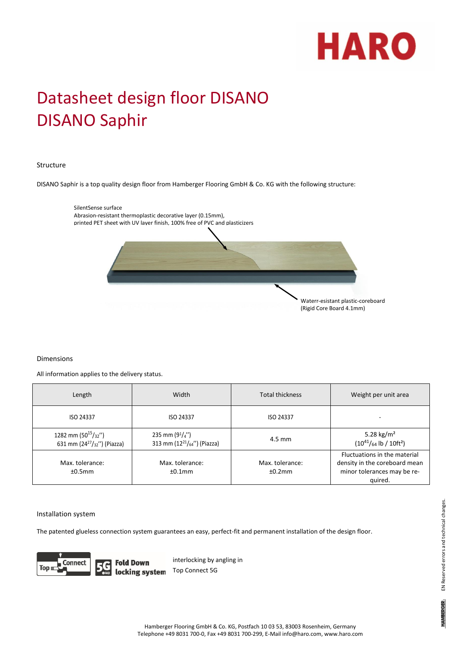

# Datasheet design floor DISANO DISANO Saphir

## Structure

DISANO Saphir is a top quality design floor from Hamberger Flooring GmbH & Co. KG with the following structure:



## Dimensions

All information applies to the delivery status.

| Length                                                         | Width                                                                                  | <b>Total thickness</b>       | Weight per unit area                                                                                    |
|----------------------------------------------------------------|----------------------------------------------------------------------------------------|------------------------------|---------------------------------------------------------------------------------------------------------|
| ISO 24337                                                      | <b>ISO 24337</b>                                                                       | ISO 24337                    |                                                                                                         |
| 1282 mm (50 $15/32$ ")<br>631 mm (24 $^{27}/_{32}$ ") (Piazza) | 235 mm $(9^{1}/_{4}^{\prime\prime})$<br>313 mm (12 <sup>21</sup> / $_{64}$ ") (Piazza) | $4.5 \text{ mm}$             | 5.28 kg/m <sup>2</sup><br>$(10^{41}/_{64}$ lb / $10$ ft <sup>2</sup> )                                  |
| Max. tolerance:<br>±0.5mm                                      | Max. tolerance:<br>±0.1mm                                                              | Max. tolerance:<br>$+0.2$ mm | Fluctuations in the material<br>density in the coreboard mean<br>minor tolerances may be re-<br>quired. |

#### Installation system

The patented glueless connection system guarantees an easy, perfect-fit and permanent installation of the design floor.



**Fold Down** interlocking by angling in locking system Top Connect 5G